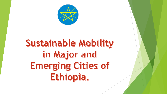

# Sustainable Mobility in Major and Emerging Cities of Ethiopia.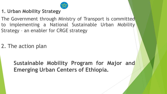

**1. Urban Mobility Strategy** 

The Government through Ministry of Transport is committed to implementing a National Sustainable Urban Mobility Strategy – an enabler for CRGE strategy

2. The action plan

**Sustainable Mobility Program for Major and Emerging Urban Centers of Ethiopia.**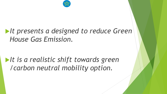

## *It presents a designed to reduce Green House Gas Emission.*

## *It is a realistic shift towards green /carbon neutral mobility option.*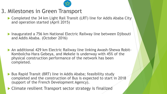

### 3. Milestones in Green Transport

- ▶ Completed the 34 km Light Rail Transit (LRT) line for Addis Ababa City and operation started (April 2015)
- ▶ Inaugurated a 756 km National Electric Railway line between Djibouti and Addis Ababa. (October 2016)
- An additional 429 km Electric Railway line linking Awash-Shewa Robit-Kombolcha-Hara Gebeya, and Mekele is underway with 45% of the physical construction performance of the network has been completed.
- ▶ Bus Rapid Transit (BRT) line in Addis Ababa; feasibility study completed and the construction of Bus is expected to start in 2018 (support of the French Development Agency).
- ▶ Climate resilient Transport sector strategy is finalized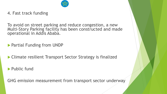

4. Fast track funding

To avoid on street parking and reduce congestion, a new Multi-Story Parking facility has been constructed and made operational in Addis Ababa.

Partial Funding from UNDP

▶ Climate resilient Transport Sector Strategy is finalized

Public fund

GHG emission measurement from transport sector underway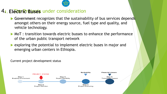

#### 4. Electric **Buses** under consideration

- Government recognizes that the sustainability of bus services depends amongst others on their energy source, fuel type and quality, and vehicle technology.
- **MoT** : transition towards electric busses to enhance the performance of the urban public transport network
- **Exploring the potential to implement electric buses in major and** emerging urban centers in Ethiopia.



Current project development status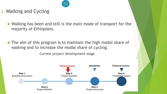

- 2. Walking and Cycling
	- ▶ Walking has been and still is the main mode of transport for the majority of Ethiopians.
	- The aim of this program is to maintain the high modal share of walking and to increase the modal share of cycling.

Current project development stage

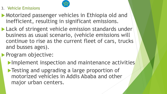

#### 3. Vehicle Emissions

- **Motorized passenger vehicles in Ethiopia old and** inefficient, resulting in significant emissions.
- **Lack of stringent vehicle emission standards under** business as usual scenario, (vehicle emissions will continue to rise as the current fleet of cars, trucks and busses ages).

## **Program objective:**

- **Implement inspection and maintenance activities**
- **Testing and upgrading a large proportion of** motorized vehicles in Addis Ababa and other major urban centers.